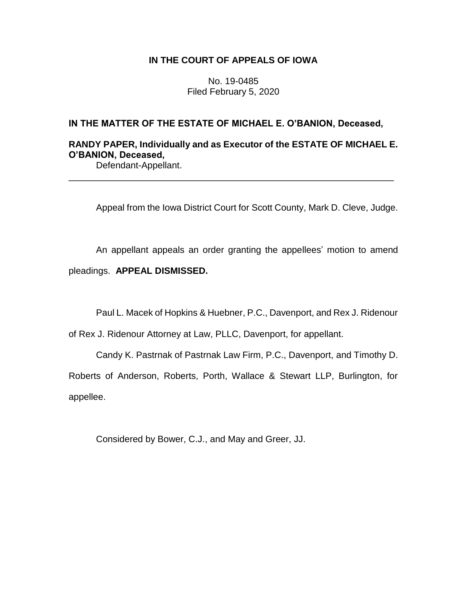## **IN THE COURT OF APPEALS OF IOWA**

No. 19-0485 Filed February 5, 2020

## **IN THE MATTER OF THE ESTATE OF MICHAEL E. O'BANION, Deceased,**

## **RANDY PAPER, Individually and as Executor of the ESTATE OF MICHAEL E. O'BANION, Deceased,**

\_\_\_\_\_\_\_\_\_\_\_\_\_\_\_\_\_\_\_\_\_\_\_\_\_\_\_\_\_\_\_\_\_\_\_\_\_\_\_\_\_\_\_\_\_\_\_\_\_\_\_\_\_\_\_\_\_\_\_\_\_\_\_\_

Defendant-Appellant.

Appeal from the Iowa District Court for Scott County, Mark D. Cleve, Judge.

An appellant appeals an order granting the appellees' motion to amend pleadings. **APPEAL DISMISSED.**

Paul L. Macek of Hopkins & Huebner, P.C., Davenport, and Rex J. Ridenour

of Rex J. Ridenour Attorney at Law, PLLC, Davenport, for appellant.

Candy K. Pastrnak of Pastrnak Law Firm, P.C., Davenport, and Timothy D.

Roberts of Anderson, Roberts, Porth, Wallace & Stewart LLP, Burlington, for appellee.

Considered by Bower, C.J., and May and Greer, JJ.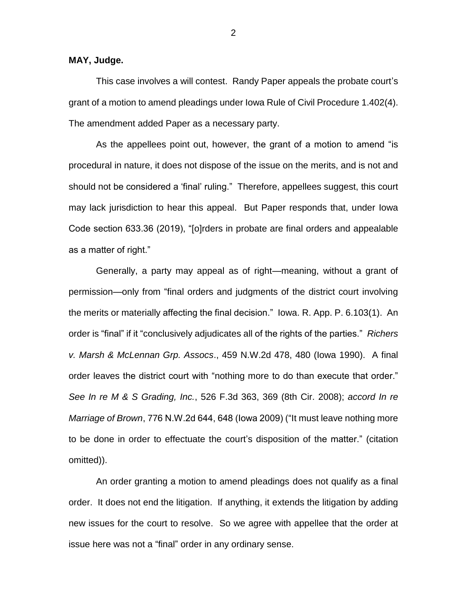**MAY, Judge.**

This case involves a will contest. Randy Paper appeals the probate court's grant of a motion to amend pleadings under Iowa Rule of Civil Procedure 1.402(4). The amendment added Paper as a necessary party.

As the appellees point out, however, the grant of a motion to amend "is procedural in nature, it does not dispose of the issue on the merits, and is not and should not be considered a 'final' ruling." Therefore, appellees suggest, this court may lack jurisdiction to hear this appeal. But Paper responds that, under Iowa Code section 633.36 (2019), "[o]rders in probate are final orders and appealable as a matter of right."

Generally, a party may appeal as of right—meaning, without a grant of permission—only from "final orders and judgments of the district court involving the merits or materially affecting the final decision." Iowa. R. App. P. 6.103(1). An order is "final" if it "conclusively adjudicates all of the rights of the parties." *Richers v. Marsh & McLennan Grp. Assocs*., 459 N.W.2d 478, 480 (Iowa 1990). A final order leaves the district court with "nothing more to do than execute that order." *See In re M & S Grading, Inc.*, 526 F.3d 363, 369 (8th Cir. 2008); *accord In re Marriage of Brown*, 776 N.W.2d 644, 648 (Iowa 2009) ("It must leave nothing more to be done in order to effectuate the court's disposition of the matter." (citation omitted)).

An order granting a motion to amend pleadings does not qualify as a final order. It does not end the litigation. If anything, it extends the litigation by adding new issues for the court to resolve. So we agree with appellee that the order at issue here was not a "final" order in any ordinary sense.

2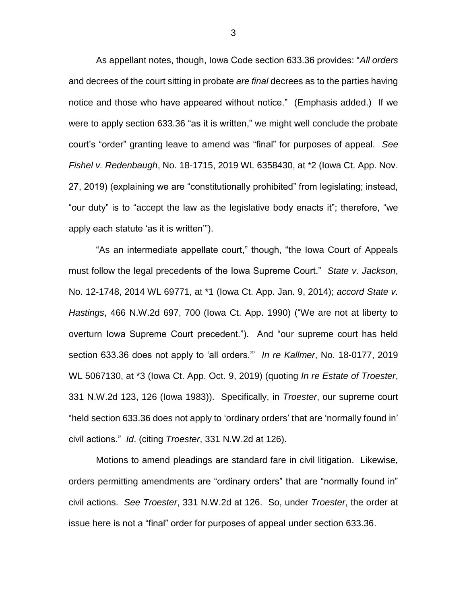As appellant notes, though, Iowa Code section 633.36 provides: "*All orders* and decrees of the court sitting in probate *are final* decrees as to the parties having notice and those who have appeared without notice." (Emphasis added.) If we were to apply section 633.36 "as it is written," we might well conclude the probate court's "order" granting leave to amend was "final" for purposes of appeal. *See Fishel v. Redenbaugh*, No. 18-1715, 2019 WL 6358430, at \*2 (Iowa Ct. App. Nov. 27, 2019) (explaining we are "constitutionally prohibited" from legislating; instead, "our duty" is to "accept the law as the legislative body enacts it"; therefore, "we apply each statute 'as it is written'").

"As an intermediate appellate court," though, "the Iowa Court of Appeals must follow the legal precedents of the Iowa Supreme Court." *State v. Jackson*, No. 12-1748, 2014 WL 69771, at \*1 (Iowa Ct. App. Jan. 9, 2014); *accord State v. Hastings*, 466 N.W.2d 697, 700 (Iowa Ct. App. 1990) ("We are not at liberty to overturn Iowa Supreme Court precedent."). And "our supreme court has held section 633.36 does not apply to 'all orders.'" *In re Kallmer*, No. 18-0177, 2019 WL 5067130, at \*3 (Iowa Ct. App. Oct. 9, 2019) (quoting *In re Estate of Troester*, 331 N.W.2d 123, 126 (Iowa 1983)). Specifically, in *Troester*, our supreme court "held section 633.36 does not apply to 'ordinary orders' that are 'normally found in' civil actions." *Id*. (citing *Troester*, 331 N.W.2d at 126).

Motions to amend pleadings are standard fare in civil litigation. Likewise, orders permitting amendments are "ordinary orders" that are "normally found in" civil actions. *See Troester*, 331 N.W.2d at 126. So, under *Troester*, the order at issue here is not a "final" order for purposes of appeal under section 633.36.

3